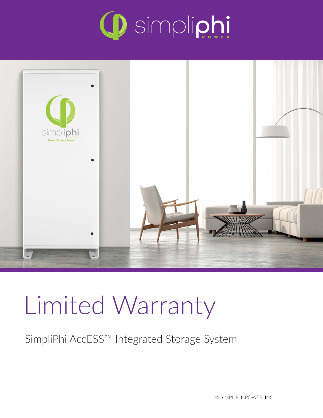



# Limited Warranty

SimpliPhi AccESS™ Integrated Storage System

© SIMPLIPHI POWER, INC.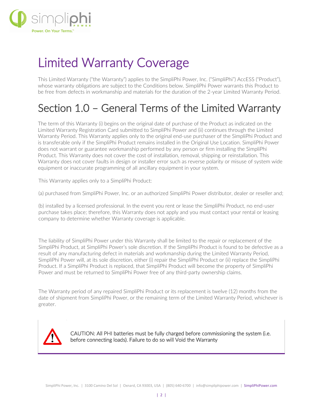

## Limited Warranty Coverage

This Limited Warranty ("the Warranty") applies to the SimpliPhi Power, Inc. ("SimpliPhi") AccESS ("Product"), whose warranty obligations are subject to the Conditions below. SimpliPhi Power warrants this Product to be free from defects in workmanship and materials for the duration of the 2-year Limited Warranty Period.

### Section 1.0 – General Terms of the Limited Warranty

The term of this Warranty (i) begins on the original date of purchase of the Product as indicated on the Limited Warranty Registration Card submitted to SimpliPhi Power and (ii) continues through the Limited Warranty Period. This Warranty applies only to the original end-use purchaser of the SimpliPhi Product and is transferable only if the SimpliPhi Product remains installed in the Original Use Location. SimpliPhi Power does not warrant or guarantee workmanship performed by any person or firm installing the SimpliPhi Product. This Warranty does not cover the cost of installation, removal, shipping or reinstallation. This Warranty does not cover faults in design or installer error such as reverse polarity or misuse of system wide equipment or inaccurate programming of all ancillary equipment in your system.

This Warranty applies only to a SimpliPhi Product:

(a) purchased from SimpliPhi Power, Inc. or an authorized SimpliPhi Power distributor, dealer or reseller and;

(b) installed by a licensed professional. In the event you rent or lease the SimpliPhi Product, no end-user purchase takes place; therefore, this Warranty does not apply and you must contact your rental or leasing company to determine whether Warranty coverage is applicable.

The liability of SimpliPhi Power under this Warranty shall be limited to the repair or replacement of the SimpliPhi Product, at SimpliPhi Power's sole discretion. If the SimpliPhi Product is found to be defective as a result of any manufacturing defect in materials and workmanship during the Limited Warranty Period, SimpliPhi Power will, at its sole discretion, either (i) repair the SimpliPhi Product or (ii) replace the SimpliPhi Product. If a SimpliPhi Product is replaced, that SimpliPhi Product will become the property of SimpliPhi Power and must be returned to SimpliPhi Power free of any third-party ownership claims.

The Warranty period of any repaired SimpliPhi Product or its replacement is twelve (12) months from the date of shipment from SimpliPhi Power, or the remaining term of the Limited Warranty Period, whichever is greater.



CAUTION: All PHI batteries must be fully charged before commissioning the system (i.e. before connecting loads). Failure to do so will Void the Warranty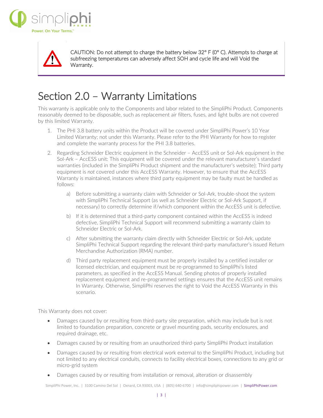



CAUTION: Do not attempt to charge the battery below 32° F (0° C). Attempts to charge at subfreezing temperatures can adversely affect SOH and cycle life and will Void the Warranty.

## Section 2.0 – Warranty Limitations

This warranty is applicable only to the Components and labor related to the SimpliPhi Product. Components reasonably deemed to be disposable, such as replacement air filters, fuses, and light bulbs are not covered by this limited Warranty.

- 1. The PHI 3.8 battery units within the Product will be covered under SimpliPhi Power's 10 Year Limited Warranty; not under this Warranty. Please refer to the PHI Warranty for how to register and complete the warranty process for the PHI 3.8 batteries.
- 2. Regarding Schneider Electric equipment in the Schneider AccESS unit or Sol-Ark equipment in the Sol-Ark – AccESS unit: This equipment will be covered under the relevant manufacturer's standard warranties (included in the SimpliPhi Product shipment and the manufacturer's website); Third party equipment is *not* covered under this AccESS Warranty. However, to ensure that the AccESS Warranty is maintained, instances where third party equipment may be faulty must be handled as follows:
	- a) Before submitting a warranty claim with Schneider or Sol-Ark, trouble-shoot the system with SimpliPhi Technical Support (as well as Schneider Electric or Sol-Ark Support, if necessary) to correctly determine if/which component within the AccESS unit is defective.
	- b) If it is determined that a third-party component contained within the AccESS is indeed defective, SimpliPhi Technical Support will recommend submitting a warranty claim to Schneider Electric or Sol-Ark.
	- c) After submitting the warranty claim directly with Schneider Electric or Sol-Ark, update SimpliPhi Technical Support regarding the relevant third-party manufacturer's issued Return Merchandise Authorization (RMA) number.
	- d) Third party replacement equipment must be properly installed by a certified installer or licensed electrician, and equipment must be re-programmed to SimpliPhi's listed parameters, as specified in the AccESS Manual. Sending photos of properly installed replacement equipment and re-programmed settings ensures that the AccESS unit remains In Warranty. Otherwise, SimpliPhi reserves the right to Void the AccESS Warranty in this scenario.

This Warranty does not cover:

- Damages caused by or resulting from third-party site preparation, which may include but is not limited to foundation preparation, concrete or gravel mounting pads, security enclosures, and required drainage, etc.
- Damages caused by or resulting from an unauthorized third-party SimpliPhi Product installation
- Damages caused by or resulting from electrical work external to the SimpliPhi Product, including but not limited to any electrical conduits, connects to facility electrical boxes, connections to any grid or micro-grid system
- Damages caused by or resulting from installation or removal, alteration or disassembly

SimpliPhi Power, Inc. | 3100 Camino Del Sol | Oxnard, CA 93003, USA | (805) 640-6700 | info@simpliphipower.com | SimpliPhiPower.com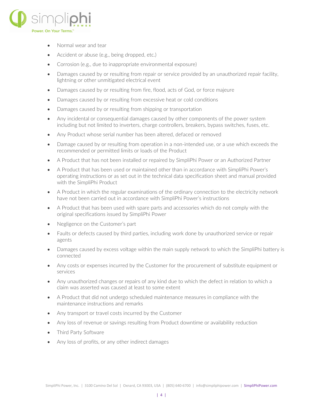

- Normal wear and tear
- Accident or abuse (e.g., being dropped, etc.)
- Corrosion (e.g., due to inappropriate environmental exposure)
- Damages caused by or resulting from repair or service provided by an unauthorized repair facility, lightning or other unmitigated electrical event
- Damages caused by or resulting from fire, flood, acts of God, or force majeure
- Damages caused by or resulting from excessive heat or cold conditions
- Damages caused by or resulting from shipping or transportation
- Any incidental or consequential damages caused by other components of the power system including but not limited to inverters, charge controllers, breakers, bypass switches, fuses, etc.
- Any Product whose serial number has been altered, defaced or removed
- Damage caused by or resulting from operation in a non-intended use, or a use which exceeds the recommended or permitted limits or loads of the Product
- A Product that has not been installed or repaired by SimpliPhi Power or an Authorized Partner
- A Product that has been used or maintained other than in accordance with SimpliPhi Power's operating instructions or as set out in the technical data specification sheet and manual provided with the SimpliPhi Product
- A Product in which the regular examinations of the ordinary connection to the electricity network have not been carried out in accordance with SimpliPhi Power's instructions
- A Product that has been used with spare parts and accessories which do not comply with the original specifications issued by SimpliPhi Power
- Negligence on the Customer's part
- Faults or defects caused by third parties, including work done by unauthorized service or repair agents
- Damages caused by excess voltage within the main supply network to which the SimpliPhi battery is connected
- Any costs or expenses incurred by the Customer for the procurement of substitute equipment or services
- Any unauthorized changes or repairs of any kind due to which the defect in relation to which a claim was asserted was caused at least to some extent
- A Product that did not undergo scheduled maintenance measures in compliance with the maintenance instructions and remarks
- Any transport or travel costs incurred by the Customer
- Any loss of revenue or savings resulting from Product downtime or availability reduction
- Third Party Software
- Any loss of profits, or any other indirect damages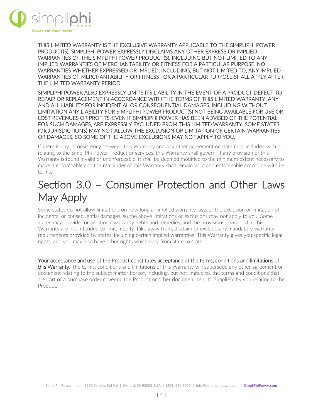

THIS LIMITED WARRANTY IS THE EXCLUSIVE WARRANTY APPLICABLE TO THE SIMPLIPHI POWER PRODUCT(S). SIMPLIPHI POWER EXPRESSLY DISCLAIMS ANY OTHER EXPRESS OR IMPLIED WARRANTIES OF THE SIMPLIPHI POWER PRODUCT(S), INCLUDING BUT NOT LIMITED TO ANY IMPLIED WARRANTIES OF MERCHANTABILITY OR FITNESS FOR A PARTICULAR PURPOSE. NO WARRANTIES WHETHER EXPRESSED OR IMPLIED, INCLUDING, BUT NOT LIMITED TO, ANY IMPLIED WARRANTIES OF MERCHANTABILITY OR FITNESS FOR A PARTICULAR PURPOSE SHALL APPLY AFTER THE LIMITED WARRANTY PERIOD.

SIMPLIPHI POWER ALSO EXPRESSLY LIMITS ITS LIABILITY IN THE EVENT OF A PRODUCT DEFECT TO REPAIR OR REPLACEMENT IN ACCORDANCE WITH THE TERMS OF THIS LIMITED WARRANTY. ANY AND ALL LIABILITY FOR INCIDENTIAL OR CONSEQUENTIAL DAMAGES, INCLUDING WITHOUT LIMITATION ANY LIABILITY FOR SIMPLIPHI POWER PRODUCT(S) NOT BEING AVAILABLE FOR USE OR LOST REVENUES OR PROFITS, EVEN IF SIMPLIPHI POWER HAS BEEN ADVISED OF THE POTENTIAL FOR SUCH DAMAGES, ARE EXPRESSLY EXCLUDED FROM THIS LIMITED WARRANTY. SOME STATES (OR JURISDICTIONS) MAY NOT ALLOW THE EXCLUSION OR LIMITATION OF CERTAIN WARRANTIES OR DAMAGES, SO SOME OF THE ABOVE EXCLUSIONS MAY NOT APPLY TO YOU.

If there is any inconsistency between this Warranty and any other agreement or statement included with or relating to the SimpliPhi Power Product or services, this Warranty shall govern. If any provision of this Warranty is found invalid or unenforceable, it shall be deemed modified to the minimum extent necessary to make it enforceable and the remainder of this Warranty shall remain valid and enforceable according with its terms.

## Section 3.0 – Consumer Protection and Other Laws May Apply

Some states do not allow limitations on how long an implied warranty lasts or the exclusion or limitation of incidental or consequential damages, so the above limitations or exclusions may not apply to you. Some states may provide for additional warranty rights and remedies, and the provisions contained in this Warranty are not intended to limit, modify, take away from, disclaim or exclude any mandatory warranty requirements provided by states, including certain implied warranties. This Warranty gives you specific legal rights, and you may also have other rights which vary from state to state.

Your acceptance and use of the Product constitutes acceptance of the terms, conditions and limitations of this Warranty. The terms, conditions and limitations of this Warranty will supersede any other agreement or document relating to the subject matter hereof, including, but not limited to, the terms and conditions that are part of a purchase order covering the Product or other document sent to SimpliPhi by you relating to the Product.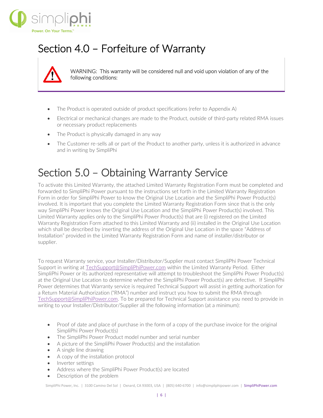

## Section 4.0 – Forfeiture of Warranty



WARNING: This warranty will be considered null and void upon violation of any of the following conditions:

- The Product is operated outside of product specifications (refer to Appendix A)
- Electrical or mechanical changes are made to the Product, outside of third-party related RMA issues or necessary product replacements
- The Product is physically damaged in any way
- The Customer re-sells all or part of the Product to another party, unless it is authorized in advance and in writing by SimpliPhi

#### Section 5.0 – Obtaining Warranty Service

To activate this Limited Warranty, the attached Limited Warranty Registration Form must be completed and forwarded to SimpliPhi Power pursuant to the instructions set forth in the Limited Warranty Registration Form in order for SimpliPhi Power to know the Original Use Location and the SimpliPhi Power Product(s) involved. It is important that you complete the Limited Warranty Registration Form since that is the only way SimpliPhi Power knows the Original Use Location and the SimpliPhi Power Product(s) involved. This Limited Warranty applies only to the SimpliPhi Power Product(s) that are (i) registered on the Limited Warranty Registration Form attached to this Limited Warranty and (ii) installed in the Original Use Location which shall be described by inserting the address of the Original Use Location in the space "Address of Installation" provided in the Limited Warranty Registration Form and name of installer/distributor or supplier.

To request Warranty service, your Installer/Distributor/Supplier must contact SimpliPhi Power Technical Support in writing at [TechSupport@SimpliPhiPower.com](mailto:TechSupport@SimpliPhiPower.com) within the Limited Warranty Period. Either SimpliPhi Power or its authorized representative will attempt to troubleshoot the SimpliPhi Power Product(s) at the Original Use Location to determine whether the SimpliPhi Power Product(s) are defective. If SimpliPhi Power determines that Warranty service is required Technical Support will assist in getting authorization for a Return Material Authorization ("RMA") number and instruct you how to submit the RMA through [TechSupport@SimpliPhiPower.com.](mailto:TechSupport@SimpliPhiPower.com) To be prepared for Technical Support assistance you need to provide in writing to your Installer/Distributor/Supplier all the following information (at a minimum):

- Proof of date and place of purchase in the form of a copy of the purchase invoice for the original SimpliPhi Power Product(s)
- The SimpliPhi Power Product model number and serial number
- A picture of the SimpliPhi Power Product(s) and the installation
- A single line drawing
- A copy of the installation protocol
- Inverter settings
- Address where the SimpliPhi Power Product(s) are located
- Description of the problem

SimpliPhi Power, Inc. | 3100 Camino Del Sol | Oxnard, CA 93003, USA | (805) 640-6700 | info@simpliphipower.com | SimpliPhiPower.com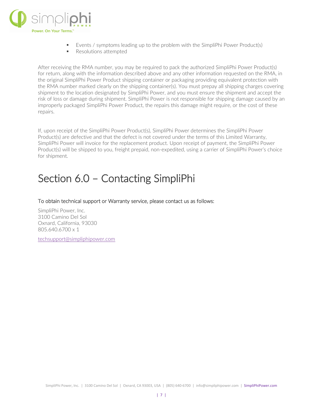

- Events / symptoms leading up to the problem with the SimpliPhi Power Product(s)
- **Resolutions attempted**

After receiving the RMA number, you may be required to pack the authorized SimpliPhi Power Product(s) for return, along with the information described above and any other information requested on the RMA, in the original SimpliPhi Power Product shipping container or packaging providing equivalent protection with the RMA number marked clearly on the shipping container(s). You must prepay all shipping charges covering shipment to the location designated by SimpliPhi Power, and you must ensure the shipment and accept the risk of loss or damage during shipment. SimpliPhi Power is not responsible for shipping damage caused by an improperly packaged SimpliPhi Power Product, the repairs this damage might require, or the cost of these repairs.

If, upon receipt of the SimpliPhi Power Product(s), SimpliPhi Power determines the SimpliPhi Power Product(s) are defective and that the defect is not covered under the terms of this Limited Warranty, SimpliPhi Power will invoice for the replacement product. Upon receipt of payment, the SimpliPhi Power Product(s) will be shipped to you, freight prepaid, non-expedited, using a carrier of SimpliPhi Power's choice for shipment.

#### Section 6.0 – Contacting SimpliPhi

To obtain technical support or Warranty service, please contact us as follows:

SimpliPhi Power, Inc. 3100 Camino Del Sol Oxnard, California, 93030 805.640.6700 x 1

[techsupport@simpliphipower.com](mailto:techsupport@simpliphipower.com)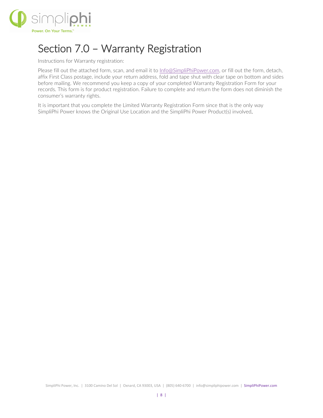

#### Section 7.0 – Warranty Registration

Instructions for Warranty registration:

Please fill out the attached form, scan, and email it to [Info@SimpliPhiPower.com,](mailto:Info@SimpliPhiPower.com) or fill out the form, detach, affix First Class postage, include your return address, fold and tape shut with clear tape on bottom and sides before mailing. We recommend you keep a copy of your completed Warranty Registration Form for your records. This form is for product registration. Failure to complete and return the form does not diminish the consumer's warranty rights.

It is important that you complete the Limited Warranty Registration Form since that is the only way SimpliPhi Power knows the Original Use Location and the SimpliPhi Power Product(s) involved.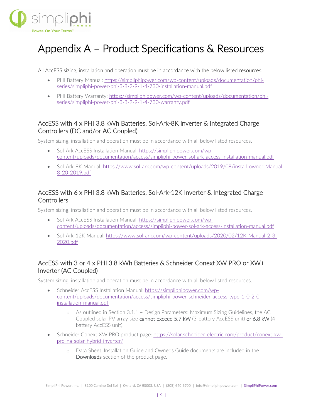

## Appendix A – Product Specifications & Resources

All AccESS sizing, installation and operation must be in accordance with the below listed resources.

- PHI Battery Manual: [https://simpliphipower.com/wp-content/uploads/documentation/phi](https://simpliphipower.com/wp-content/uploads/documentation/phi-series/simpliphi-power-phi-3-8-2-9-1-4-730-installation-manual.pdf)[series/simpliphi-power-phi-3-8-2-9-1-4-730-installation-manual.pdf](https://simpliphipower.com/wp-content/uploads/documentation/phi-series/simpliphi-power-phi-3-8-2-9-1-4-730-installation-manual.pdf)
- PHI Battery Warranty: [https://simpliphipower.com/wp-content/uploads/documentation/phi](https://simpliphipower.com/wp-content/uploads/documentation/phi-series/simpliphi-power-phi-3-8-2-9-1-4-730-warranty.pdf)[series/simpliphi-power-phi-3-8-2-9-1-4-730-warranty.pdf](https://simpliphipower.com/wp-content/uploads/documentation/phi-series/simpliphi-power-phi-3-8-2-9-1-4-730-warranty.pdf)

#### AccESS with 4 x PHI 3.8 kWh Batteries, Sol-Ark-8K Inverter & Integrated Charge Controllers (DC and/or AC Coupled)

System sizing, installation and operation must be in accordance with all below listed resources.

- Sol-Ark AccESS Installation Manual: [https://simpliphipower.com/wp](https://simpliphipower.com/wp-content/uploads/documentation/access/simpliphi-power-sol-ark-access-installation-manual.pdf)[content/uploads/documentation/access/simpliphi-power-sol-ark-access-installation-manual.pdf](https://simpliphipower.com/wp-content/uploads/documentation/access/simpliphi-power-sol-ark-access-installation-manual.pdf)
- Sol-Ark-8K Manual: [https://www.sol-ark.com/wp-content/uploads/2019/08/install-owner-Manual-](https://www.sol-ark.com/wp-content/uploads/2019/08/install-owner-Manual-8-20-2019.pdf)[8-20-2019.pdf](https://www.sol-ark.com/wp-content/uploads/2019/08/install-owner-Manual-8-20-2019.pdf)

#### AccESS with 6 x PHI 3.8 kWh Batteries, Sol-Ark-12K Inverter & Integrated Charge **Controllers**

System sizing, installation and operation must be in accordance with all below listed resources.

- Sol-Ark AccESS Installation Manual: [https://simpliphipower.com/wp](https://simpliphipower.com/wp-content/uploads/documentation/access/simpliphi-power-sol-ark-access-installation-manual.pdf)[content/uploads/documentation/access/simpliphi-power-sol-ark-access-installation-manual.pdf](https://simpliphipower.com/wp-content/uploads/documentation/access/simpliphi-power-sol-ark-access-installation-manual.pdf)
- Sol-Ark-12K Manual: [https://www.sol-ark.com/wp-content/uploads/2020/02/12K-Manual-2-3-](https://www.sol-ark.com/wp-content/uploads/2020/02/12K-Manual-2-3-2020.pdf) [2020.pdf](https://www.sol-ark.com/wp-content/uploads/2020/02/12K-Manual-2-3-2020.pdf)

#### AccESS with 3 or 4 x PHI 3.8 kWh Batteries & Schneider Conext XW PRO or XW+ Inverter (AC Coupled)

System sizing, installation and operation must be in accordance with all below listed resources.

- Schneider AccESS Installation Manual: [https://simpliphipower.com/wp](https://simpliphipower.com/wp-content/uploads/documentation/access/simpliphi-power-schneider-access-type-1-0-2-0-installation-manual.pdf)[content/uploads/documentation/access/simpliphi-power-schneider-access-type-1-0-2-0](https://simpliphipower.com/wp-content/uploads/documentation/access/simpliphi-power-schneider-access-type-1-0-2-0-installation-manual.pdf) [installation-manual.pdf](https://simpliphipower.com/wp-content/uploads/documentation/access/simpliphi-power-schneider-access-type-1-0-2-0-installation-manual.pdf)
	- o As outlined in Section 3.1.1 Design Parameters: Maximum Sizing Guidelines, the AC Coupled solar PV array size cannot exceed 5.7 kW (3-battery AccESS unit) or 6.8 kW (4 battery AccESS unit).
- Schneider Conext XW PRO product page: [https://solar.schneider-electric.com/product/conext-xw](https://solar.schneider-electric.com/product/conext-xw-pro-na-solar-hybrid-inverter/)[pro-na-solar-hybrid-inverter/](https://solar.schneider-electric.com/product/conext-xw-pro-na-solar-hybrid-inverter/)
	- o Data Sheet, Installation Guide and Owner's Guide documents are included in the Downloads section of the product page.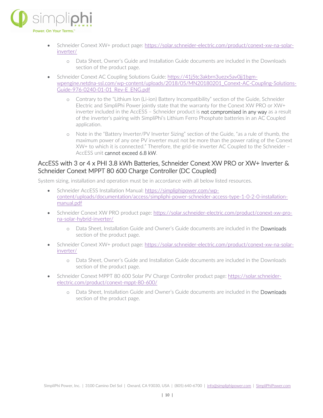

- Schneider Conext XW+ product page: [https://solar.schneider-electric.com/product/conext-xw-na-solar](https://solar.schneider-electric.com/product/conext-xw-na-solar-inverter/)[inverter/](https://solar.schneider-electric.com/product/conext-xw-na-solar-inverter/)
	- o Data Sheet, Owner's Guide and Installation Guide documents are included in the Downloads section of the product page.
- Schneider Conext AC Coupling Solutions Guide: [https://41j5tc3akbrn3uezx5av0jj1bgm](https://41j5tc3akbrn3uezx5av0jj1bgm-wpengine.netdna-ssl.com/wp-content/uploads/2018/05/MN20180201_Conext-AC-Coupling-Solutions-Guide-976-0240-01-01_Rev-E_ENG.pdf)[wpengine.netdna-ssl.com/wp-content/uploads/2018/05/MN20180201\\_Conext-AC-Coupling-Solutions-](https://41j5tc3akbrn3uezx5av0jj1bgm-wpengine.netdna-ssl.com/wp-content/uploads/2018/05/MN20180201_Conext-AC-Coupling-Solutions-Guide-976-0240-01-01_Rev-E_ENG.pdf)[Guide-976-0240-01-01\\_Rev-E\\_ENG.pdf](https://41j5tc3akbrn3uezx5av0jj1bgm-wpengine.netdna-ssl.com/wp-content/uploads/2018/05/MN20180201_Conext-AC-Coupling-Solutions-Guide-976-0240-01-01_Rev-E_ENG.pdf)
	- o Contrary to the "Lithium Ion (Li-ion) Battery Incompatibility" section of the Guide, Schneider Electric and SimpliPhi Power jointly state that the warranty for the Conext XW PRO or XW+ inverter included in the AccESS – Schneider product is not compromised in any way as a result of the inverter's pairing with SimpliPhi's Lithium Ferro Phosphate batteries in an AC Coupled application.
	- o Note in the "Battery Inverter/PV Inverter Sizing" section of the Guide, "as a rule of thumb, the maximum power of any one PV inverter must not be more than the power rating of the Conext XW+ to which it is connected." Therefore, the grid-tie inverter AC Coupled to the Schneider – AccESS unit cannot exceed 6.8 kW.

#### AccESS with 3 or 4 x PHI 3.8 kWh Batteries, Schneider Conext XW PRO or XW+ Inverter & Schneider Conext MPPT 80 600 Charge Controller (DC Coupled)

System sizing, installation and operation must be in accordance with all below listed resources.

- Schneider AccESS Installation Manual: [https://simpliphipower.com/wp](https://simpliphipower.com/wp-content/uploads/documentation/access/simpliphi-power-schneider-access-type-1-0-2-0-installation-manual.pdf)[content/uploads/documentation/access/simpliphi-power-schneider-access-type-1-0-2-0-installation](https://simpliphipower.com/wp-content/uploads/documentation/access/simpliphi-power-schneider-access-type-1-0-2-0-installation-manual.pdf)[manual.pdf](https://simpliphipower.com/wp-content/uploads/documentation/access/simpliphi-power-schneider-access-type-1-0-2-0-installation-manual.pdf)
- Schneider Conext XW PRO product page: [https://solar.schneider-electric.com/product/conext-xw-pro](https://solar.schneider-electric.com/product/conext-xw-pro-na-solar-hybrid-inverter/)[na-solar-hybrid-inverter/](https://solar.schneider-electric.com/product/conext-xw-pro-na-solar-hybrid-inverter/)
	- o Data Sheet, Installation Guide and Owner's Guide documents are included in the Downloads section of the product page.
- Schneider Conext XW+ product page: [https://solar.schneider-electric.com/product/conext-xw-na-solar](https://solar.schneider-electric.com/product/conext-xw-na-solar-inverter/)[inverter/](https://solar.schneider-electric.com/product/conext-xw-na-solar-inverter/)
	- o Data Sheet, Owner's Guide and Installation Guide documents are included in the Downloads section of the product page.
- Schneider Conext MPPT 80 600 Solar PV Charge Controller product page: [https://solar.schneider](https://solar.schneider-electric.com/product/conext-mppt-80-600/)[electric.com/product/conext-mppt-80-600/](https://solar.schneider-electric.com/product/conext-mppt-80-600/)
	- o Data Sheet, Installation Guide and Owner's Guide documents are included in the Downloads section of the product page.